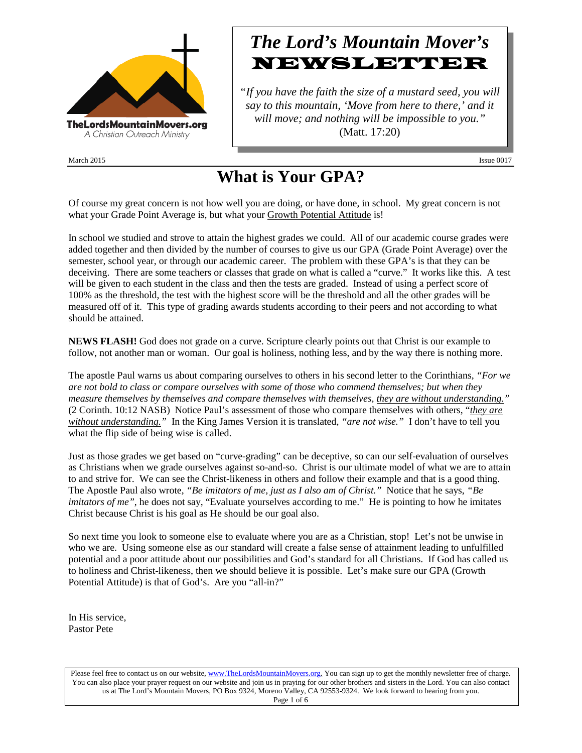

March 2015 **Issue 0017** 

## *The Lord's Mountain Mover's* NEWSLETTER

*"If you have the faith the size of a mustard seed, you will say to this mountain, 'Move from here to there,' and it will move; and nothing will be impossible to you."* (Matt. 17:20)

# **What is Your GPA?**

Of course my great concern is not how well you are doing, or have done, in school. My great concern is not what your Grade Point Average is, but what your Growth Potential Attitude is!

In school we studied and strove to attain the highest grades we could. All of our academic course grades were added together and then divided by the number of courses to give us our GPA (Grade Point Average) over the semester, school year, or through our academic career. The problem with these GPA's is that they can be deceiving. There are some teachers or classes that grade on what is called a "curve." It works like this. A test will be given to each student in the class and then the tests are graded. Instead of using a perfect score of 100% as the threshold, the test with the highest score will be the threshold and all the other grades will be measured off of it. This type of grading awards students according to their peers and not according to what should be attained.

**NEWS FLASH!** God does not grade on a curve. Scripture clearly points out that Christ is our example to follow, not another man or woman. Our goal is holiness, nothing less, and by the way there is nothing more.

The apostle Paul warns us about comparing ourselves to others in his second letter to the Corinthians, *"For we are not bold to class or compare ourselves with some of those who commend themselves; but when they measure themselves by themselves and compare themselves with themselves, they are without understanding."* (2 Corinth. 10:12 NASB) Notice Paul's assessment of those who compare themselves with others, "*they are without understanding."* In the King James Version it is translated, *"are not wise."* I don't have to tell you what the flip side of being wise is called.

Just as those grades we get based on "curve-grading" can be deceptive, so can our self-evaluation of ourselves as Christians when we grade ourselves against so-and-so. Christ is our ultimate model of what we are to attain to and strive for. We can see the Christ-likeness in others and follow their example and that is a good thing. The Apostle Paul also wrote, *"Be imitators of me, just as I also am of Christ."* Notice that he says, *"Be imitators of me"*, he does not say, "Evaluate yourselves according to me." He is pointing to how he imitates Christ because Christ is his goal as He should be our goal also.

So next time you look to someone else to evaluate where you are as a Christian, stop! Let's not be unwise in who we are. Using someone else as our standard will create a false sense of attainment leading to unfulfilled potential and a poor attitude about our possibilities and God's standard for all Christians. If God has called us to holiness and Christ-likeness, then we should believe it is possible. Let's make sure our GPA (Growth Potential Attitude) is that of God's. Are you "all-in?"

In His service, Pastor Pete

Please feel free to contact us on our website, ww[w.TheLordsMountainMovers.o](http://www.thelordsmountainmovers.org/)rg. You can sign up to get the monthly newsletter free of charge. You can also place your prayer request on our website and join us in praying for our other brothers and sisters in the Lord. You can also contact us at The Lord's Mountain Movers, PO Box 9324, Moreno Valley, CA 92553-9324. We look forward to hearing from you. Page 1 of 6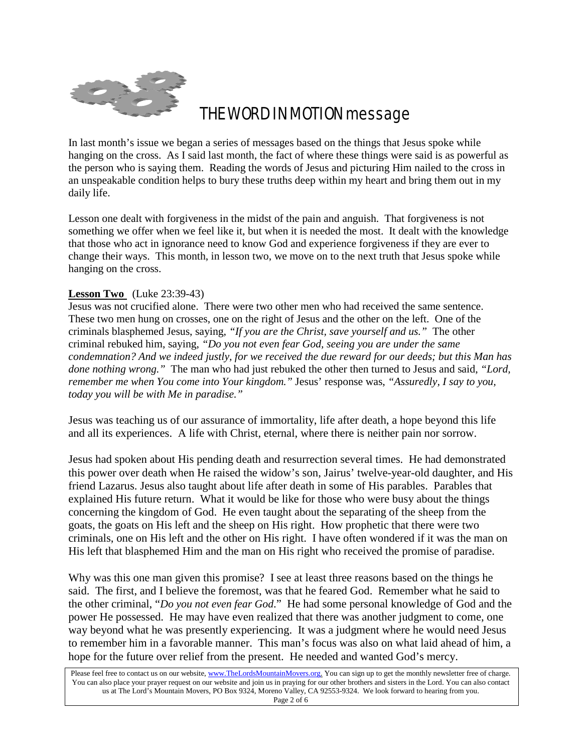

### THE WORD IN MOTION message

In last month's issue we began a series of messages based on the things that Jesus spoke while hanging on the cross. As I said last month, the fact of where these things were said is as powerful as the person who is saying them. Reading the words of Jesus and picturing Him nailed to the cross in an unspeakable condition helps to bury these truths deep within my heart and bring them out in my daily life.

Lesson one dealt with forgiveness in the midst of the pain and anguish. That forgiveness is not something we offer when we feel like it, but when it is needed the most. It dealt with the knowledge that those who act in ignorance need to know God and experience forgiveness if they are ever to change their ways. This month, in lesson two, we move on to the next truth that Jesus spoke while hanging on the cross.

#### **Lesson Two** (Luke 23:39-43)

Jesus was not crucified alone. There were two other men who had received the same sentence. These two men hung on crosses, one on the right of Jesus and the other on the left. One of the criminals blasphemed Jesus, saying, *"If you are the Christ, save yourself and us."* The other criminal rebuked him, saying, *"Do you not even fear God, seeing you are under the same condemnation? And we indeed justly, for we received the due reward for our deeds; but this Man has done nothing wrong."* The man who had just rebuked the other then turned to Jesus and said, *"Lord, remember me when You come into Your kingdom."* Jesus' response was, *"Assuredly, I say to you, today you will be with Me in paradise."*

Jesus was teaching us of our assurance of immortality, life after death, a hope beyond this life and all its experiences. A life with Christ, eternal, where there is neither pain nor sorrow.

Jesus had spoken about His pending death and resurrection several times. He had demonstrated this power over death when He raised the widow's son, Jairus' twelve-year-old daughter, and His friend Lazarus. Jesus also taught about life after death in some of His parables. Parables that explained His future return. What it would be like for those who were busy about the things concerning the kingdom of God. He even taught about the separating of the sheep from the goats, the goats on His left and the sheep on His right. How prophetic that there were two criminals, one on His left and the other on His right. I have often wondered if it was the man on His left that blasphemed Him and the man on His right who received the promise of paradise.

Why was this one man given this promise? I see at least three reasons based on the things he said. The first, and I believe the foremost, was that he feared God. Remember what he said to the other criminal, "*Do you not even fear God*." He had some personal knowledge of God and the power He possessed. He may have even realized that there was another judgment to come, one way beyond what he was presently experiencing. It was a judgment where he would need Jesus to remember him in a favorable manner. This man's focus was also on what laid ahead of him, a hope for the future over relief from the present. He needed and wanted God's mercy.

Please feel free to contact us on our website, ww[w.TheLordsMountainMovers.o](http://www.thelordsmountainmovers.org/)rg. You can sign up to get the monthly newsletter free of charge. You can also place your prayer request on our website and join us in praying for our other brothers and sisters in the Lord. You can also contact us at The Lord's Mountain Movers, PO Box 9324, Moreno Valley, CA 92553-9324. We look forward to hearing from you. Page 2 of 6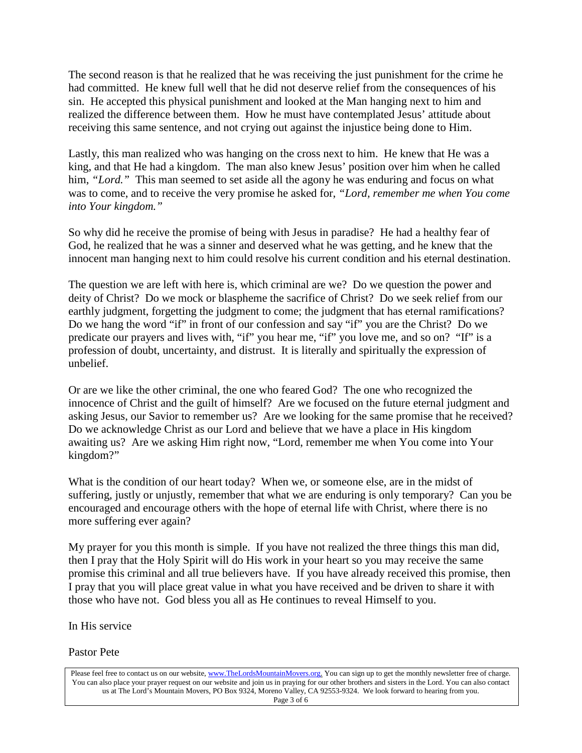The second reason is that he realized that he was receiving the just punishment for the crime he had committed. He knew full well that he did not deserve relief from the consequences of his sin. He accepted this physical punishment and looked at the Man hanging next to him and realized the difference between them. How he must have contemplated Jesus' attitude about receiving this same sentence, and not crying out against the injustice being done to Him.

Lastly, this man realized who was hanging on the cross next to him. He knew that He was a king, and that He had a kingdom. The man also knew Jesus' position over him when he called him, "Lord." This man seemed to set aside all the agony he was enduring and focus on what was to come, and to receive the very promise he asked for, *"Lord, remember me when You come into Your kingdom."*

So why did he receive the promise of being with Jesus in paradise? He had a healthy fear of God, he realized that he was a sinner and deserved what he was getting, and he knew that the innocent man hanging next to him could resolve his current condition and his eternal destination.

The question we are left with here is, which criminal are we? Do we question the power and deity of Christ? Do we mock or blaspheme the sacrifice of Christ? Do we seek relief from our earthly judgment, forgetting the judgment to come; the judgment that has eternal ramifications? Do we hang the word "if" in front of our confession and say "if" you are the Christ? Do we predicate our prayers and lives with, "if" you hear me, "if" you love me, and so on? "If" is a profession of doubt, uncertainty, and distrust. It is literally and spiritually the expression of unbelief.

Or are we like the other criminal, the one who feared God? The one who recognized the innocence of Christ and the guilt of himself? Are we focused on the future eternal judgment and asking Jesus, our Savior to remember us? Are we looking for the same promise that he received? Do we acknowledge Christ as our Lord and believe that we have a place in His kingdom awaiting us? Are we asking Him right now, "Lord, remember me when You come into Your kingdom?"

What is the condition of our heart today? When we, or someone else, are in the midst of suffering, justly or unjustly, remember that what we are enduring is only temporary? Can you be encouraged and encourage others with the hope of eternal life with Christ, where there is no more suffering ever again?

My prayer for you this month is simple. If you have not realized the three things this man did, then I pray that the Holy Spirit will do His work in your heart so you may receive the same promise this criminal and all true believers have. If you have already received this promise, then I pray that you will place great value in what you have received and be driven to share it with those who have not. God bless you all as He continues to reveal Himself to you.

In His service

Pastor Pete

Please feel free to contact us on our website, ww[w.TheLordsMountainMovers.o](http://www.thelordsmountainmovers.org/)rg. You can sign up to get the monthly newsletter free of charge. You can also place your prayer request on our website and join us in praying for our other brothers and sisters in the Lord. You can also contact us at The Lord's Mountain Movers, PO Box 9324, Moreno Valley, CA 92553-9324. We look forward to hearing from you. Page 3 of 6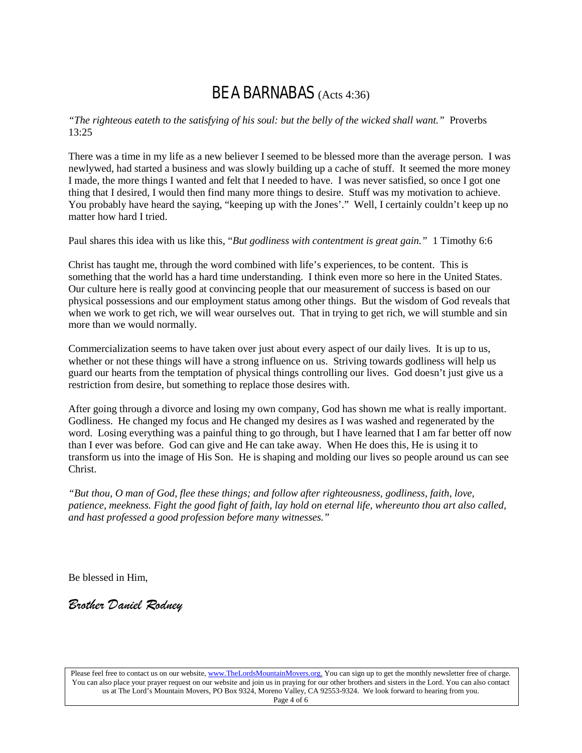### BE A BARNABAS (Acts 4:36)

*"The righteous eateth to the satisfying of his soul: but the belly of the wicked shall want."* Proverbs 13:25

There was a time in my life as a new believer I seemed to be blessed more than the average person. I was newlywed, had started a business and was slowly building up a cache of stuff. It seemed the more money I made, the more things I wanted and felt that I needed to have. I was never satisfied, so once I got one thing that I desired, I would then find many more things to desire. Stuff was my motivation to achieve. You probably have heard the saying, "keeping up with the Jones'." Well, I certainly couldn't keep up no matter how hard I tried.

Paul shares this idea with us like this, "*But godliness with contentment is great gain."* 1 Timothy 6:6

Christ has taught me, through the word combined with life's experiences, to be content. This is something that the world has a hard time understanding. I think even more so here in the United States. Our culture here is really good at convincing people that our measurement of success is based on our physical possessions and our employment status among other things. But the wisdom of God reveals that when we work to get rich, we will wear ourselves out. That in trying to get rich, we will stumble and sin more than we would normally.

Commercialization seems to have taken over just about every aspect of our daily lives. It is up to us, whether or not these things will have a strong influence on us. Striving towards godliness will help us guard our hearts from the temptation of physical things controlling our lives. God doesn't just give us a restriction from desire, but something to replace those desires with.

After going through a divorce and losing my own company, God has shown me what is really important. Godliness. He changed my focus and He changed my desires as I was washed and regenerated by the word. Losing everything was a painful thing to go through, but I have learned that I am far better off now than I ever was before. God can give and He can take away. When He does this, He is using it to transform us into the image of His Son. He is shaping and molding our lives so people around us can see Christ.

*"But thou, O man of God, flee these things; and follow after righteousness, godliness, faith, love, patience, meekness. Fight the good fight of faith, lay hold on eternal life, whereunto thou art also called, and hast professed a good profession before many witnesses."*

Be blessed in Him,

*Brother Daniel Rodney*

Please feel free to contact us on our website, ww[w.TheLordsMountainMovers.o](http://www.thelordsmountainmovers.org/)rg. You can sign up to get the monthly newsletter free of charge. You can also place your prayer request on our website and join us in praying for our other brothers and sisters in the Lord. You can also contact us at The Lord's Mountain Movers, PO Box 9324, Moreno Valley, CA 92553-9324. We look forward to hearing from you. Page 4 of 6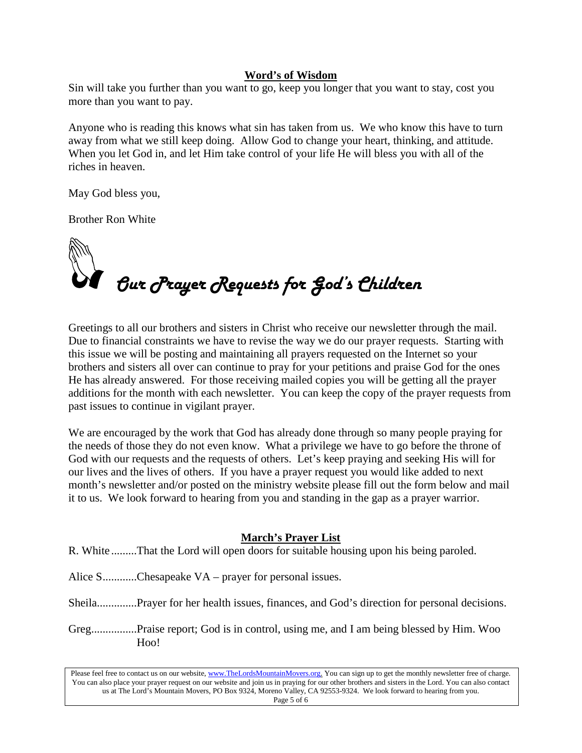#### **Word's of Wisdom**

Sin will take you further than you want to go, keep you longer that you want to stay, cost you more than you want to pay.

Anyone who is reading this knows what sin has taken from us. We who know this have to turn away from what we still keep doing. Allow God to change your heart, thinking, and attitude. When you let God in, and let Him take control of your life He will bless you with all of the riches in heaven.

May God bless you,

Brother Ron White



Greetings to all our brothers and sisters in Christ who receive our newsletter through the mail. Due to financial constraints we have to revise the way we do our prayer requests. Starting with this issue we will be posting and maintaining all prayers requested on the Internet so your brothers and sisters all over can continue to pray for your petitions and praise God for the ones He has already answered. For those receiving mailed copies you will be getting all the prayer additions for the month with each newsletter. You can keep the copy of the prayer requests from past issues to continue in vigilant prayer.

We are encouraged by the work that God has already done through so many people praying for the needs of those they do not even know. What a privilege we have to go before the throne of God with our requests and the requests of others. Let's keep praying and seeking His will for our lives and the lives of others. If you have a prayer request you would like added to next month's newsletter and/or posted on the ministry website please fill out the form below and mail it to us. We look forward to hearing from you and standing in the gap as a prayer warrior.

#### **March's Prayer List**

R. White .........That the Lord will open doors for suitable housing upon his being paroled.

Alice S............Chesapeake VA – prayer for personal issues.

Sheila..............Prayer for her health issues, finances, and God's direction for personal decisions.

Greg................Praise report; God is in control, using me, and I am being blessed by Him. Woo Hoo!

Please feel free to contact us on our website, ww[w.TheLordsMountainMovers.o](http://www.thelordsmountainmovers.org/)rg. You can sign up to get the monthly newsletter free of charge. You can also place your prayer request on our website and join us in praying for our other brothers and sisters in the Lord. You can also contact us at The Lord's Mountain Movers, PO Box 9324, Moreno Valley, CA 92553-9324. We look forward to hearing from you. Page 5 of 6